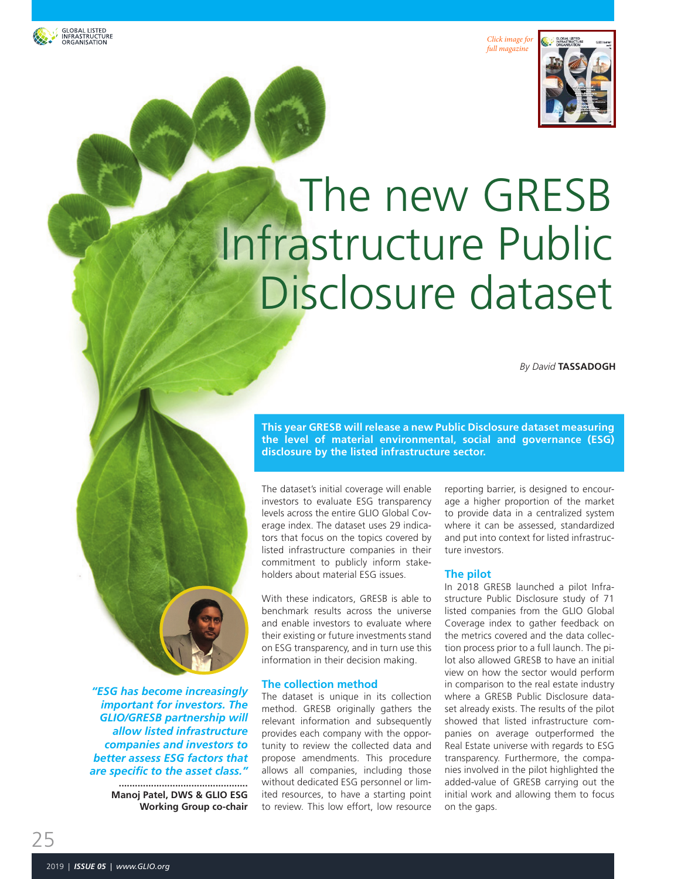GLOBAL LISTED<br>INFRASTRUCTURE<br>ORGANISATION





# The new GRESB Infrastructure Public Disclosure dataset

*By David* **TASSADOGH**

**This year GRESB will release a new Public Disclosure dataset measuring the level of material environmental, social and governance (ESG) disclosure by the listed infrastructure sector.**

The dataset's initial coverage will enable investors to evaluate ESG transparency levels across the entire GLIO Global Coverage index. The dataset uses 29 indicators that focus on the topics covered by listed infrastructure companies in their commitment to publicly inform stakeholders about material ESG issues.

With these indicators, GRESB is able to benchmark results across the universe and enable investors to evaluate where their existing or future investments stand on ESG transparency, and in turn use this information in their decision making.

#### **The collection method**

The dataset is unique in its collection method. GRESB originally gathers the relevant information and subsequently provides each company with the opportunity to review the collected data and propose amendments. This procedure allows all companies, including those without dedicated ESG personnel or limited resources, to have a starting point to review. This low effort, low resource reporting barrier, is designed to encourage a higher proportion of the market to provide data in a centralized system where it can be assessed, standardized and put into context for listed infrastructure investors.

#### **The pilot**

In 2018 GRESB launched a pilot Infrastructure Public Disclosure study of 71 listed companies from the GLIO Global Coverage index to gather feedback on the metrics covered and the data collection process prior to a full launch. The pilot also allowed GRESB to have an initial view on how the sector would perform in comparison to the real estate industry where a GRESB Public Disclosure dataset already exists. The results of the pilot showed that listed infrastructure companies on average outperformed the Real Estate universe with regards to ESG transparency. Furthermore, the companies involved in the pilot highlighted the added-value of GRESB carrying out the initial work and allowing them to focus on the gaps.

*"ESG has become increasingly important for investors. The GLIO/GRESB partnership will allow listed infrastructure companies and investors to better assess ESG factors that are specific to the asset class."*

> **................................................ Manoj Patel, DWS & GLIO ESG Working Group co-chair**

25